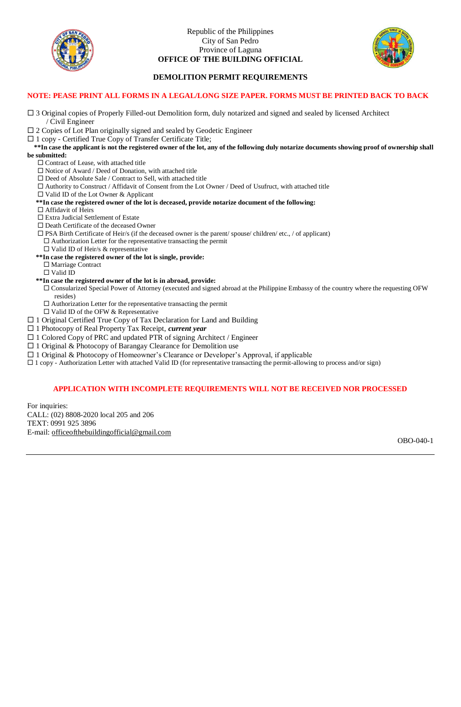

Republic of the Philippines City of San Pedro Province of Laguna **OFFICE OF THE BUILDING OFFICIAL**



### **DEMOLITION PERMIT REQUIREMENTS**

#### **NOTE: PEASE PRINT ALL FORMS IN A LEGAL/LONG SIZE PAPER. FORMS MUST BE PRINTED BACK TO BACK**

- $\Box$  3 Original copies of Properly Filled-out Demolition form, duly notarized and signed and sealed by licensed Architect / Civil Engineer
- 2 Copies of Lot Plan originally signed and sealed by Geodetic Engineer
- $\Box$  1 copy Certified True Copy of Transfer Certificate Title;

#### **\*\*In case the applicant is not the registered owner of the lot, any of the following duly notarize documents showing proof of ownership shall be submitted:**

- □ Contract of Lease, with attached title
- $\Box$  Notice of Award / Deed of Donation, with attached title
- Deed of Absolute Sale / Contract to Sell, with attached title
- $\Box$  Authority to Construct / Affidavit of Consent from the Lot Owner / Deed of Usufruct, with attached title
- Valid ID of the Lot Owner & Applicant

 **\*\*In case the registered owner of the lot is deceased, provide notarize document of the following:**

- □ Affidavit of Heirs
- $\Box$ <br> <br> Extra Judicial Settlement of Estate
- Death Certificate of the deceased Owner
- $\Box$  PSA Birth Certificate of Heir/s (if the deceased owner is the parent/ spouse/ children/ etc., / of applicant)  $\Box$  <br> Authorization Letter for the representative transacting the permit
- □ Valid ID of Heir/s & representative
- **\*\*In case the registered owner of the lot is single, provide:** □ Marriage Contract
	- Valid ID
- **\*\*In case the registered owner of the lot is in abroad, provide:**
- Consularized Special Power of Attorney (executed and signed abroad at the Philippine Embassy of the country where the requesting OFW resides)
- $\square$  Authorization Letter for the representative transacting the permit
- $\square$  Valid ID of the OFW & Representative
- $\Box$  1 Original Certified True Copy of Tax Declaration for Land and Building
- □ 1 Photocopy of Real Property Tax Receipt, *current year*
- $\Box$  1 Colored Copy of PRC and updated PTR of signing Architect / Engineer
- $\Box$  1 Original & Photocopy of Barangay Clearance for Demolition use
- $\Box$  1 Original & Photocopy of Homeowner's Clearance or Developer's Approval, if applicable
- $\Box$  1 copy Authorization Letter with attached Valid ID (for representative transacting the permit-allowing to process and/or sign)

#### **APPLICATION WITH INCOMPLETE REQUIREMENTS WILL NOT BE RECEIVED NOR PROCESSED**

For inquiries: CALL: (02) 8808-2020 local 205 and 206 TEXT: 0991 925 3896 E-mail: [officeofthebuildingofficial@gmail.com](mailto:officeofthebuildingofficial@gmail.com)

OBO-040-1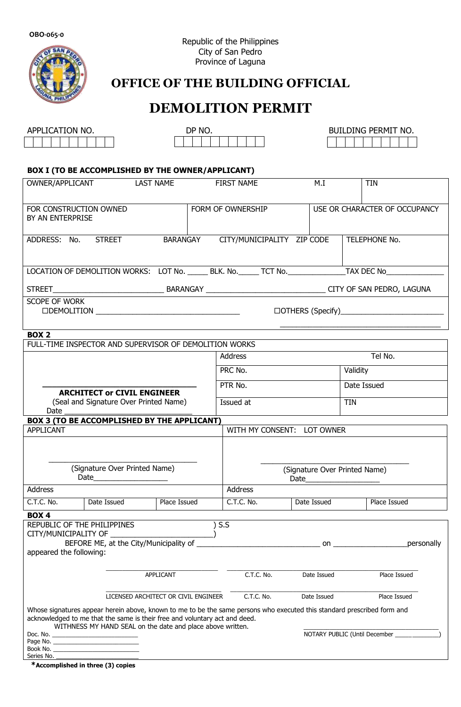**OBO-065-0**



# **OFFICE OF THE BUILDING OFFICIAL**

# **DEMOLITION PERMIT**

| APPLICATION NO. |  |  |  |  |  |  |  |  |  |
|-----------------|--|--|--|--|--|--|--|--|--|
|                 |  |  |  |  |  |  |  |  |  |

| DP NO. |  |  |  |  |  |  |  |  |
|--------|--|--|--|--|--|--|--|--|
|        |  |  |  |  |  |  |  |  |

DP NO. BUILDING PERMIT NO.

### **BOX I (TO BE ACCOMPLISHED BY THE OWNER/APPLICANT)**

| OWNER/APPLICANT                                                                                                                                                                                       | LAST NAME                                                  |                               | <b>FIRST NAME</b>          | M.I         |            | <b>TIN</b>                    |  |  |
|-------------------------------------------------------------------------------------------------------------------------------------------------------------------------------------------------------|------------------------------------------------------------|-------------------------------|----------------------------|-------------|------------|-------------------------------|--|--|
| FOR CONSTRUCTION OWNED<br>BY AN ENTERPRISE                                                                                                                                                            |                                                            |                               | FORM OF OWNERSHIP          |             |            | USE OR CHARACTER OF OCCUPANCY |  |  |
| ADDRESS: No. STREET                                                                                                                                                                                   |                                                            | BARANGAY                      | CITY/MUNICIPALITY ZIP CODE |             |            | TELEPHONE No.                 |  |  |
| LOCATION OF DEMOLITION WORKS: LOT No. ______ BLK. No. ______ TCT No. ________________TAX DEC No_____                                                                                                  |                                                            |                               |                            |             |            |                               |  |  |
|                                                                                                                                                                                                       |                                                            |                               |                            |             |            |                               |  |  |
| <b>SCOPE OF WORK</b><br><b>ODEMOLITION</b>                                                                                                                                                            |                                                            |                               |                            |             |            |                               |  |  |
| <b>BOX 2</b>                                                                                                                                                                                          |                                                            |                               |                            |             |            |                               |  |  |
| FULL-TIME INSPECTOR AND SUPERVISOR OF DEMOLITION WORKS                                                                                                                                                |                                                            |                               |                            |             |            |                               |  |  |
|                                                                                                                                                                                                       |                                                            |                               | Address                    |             |            | Tel No.                       |  |  |
|                                                                                                                                                                                                       |                                                            |                               | PRC No.                    |             |            | Validity                      |  |  |
|                                                                                                                                                                                                       | <b>ARCHITECT or CIVIL ENGINEER</b>                         |                               | PTR No.                    |             |            | Date Issued                   |  |  |
| Date                                                                                                                                                                                                  | (Seal and Signature Over Printed Name)                     |                               | Issued at                  |             |            | TIN                           |  |  |
| BOX 3 (TO BE ACCOMPLISHED BY THE APPLICANT)                                                                                                                                                           |                                                            |                               |                            |             |            |                               |  |  |
| APPLICANT                                                                                                                                                                                             |                                                            |                               | WITH MY CONSENT: LOT OWNER |             |            |                               |  |  |
|                                                                                                                                                                                                       |                                                            |                               |                            |             |            |                               |  |  |
|                                                                                                                                                                                                       | (Signature Over Printed Name)                              |                               |                            |             |            |                               |  |  |
|                                                                                                                                                                                                       |                                                            | (Signature Over Printed Name) |                            |             |            |                               |  |  |
| <b>Address</b>                                                                                                                                                                                        |                                                            |                               | <b>Address</b>             |             |            |                               |  |  |
| C.T.C. No.<br>Date Issued                                                                                                                                                                             | Place Issued                                               |                               | C.T.C. No.                 | Date Issued |            | Place Issued                  |  |  |
| <b>BOX4</b>                                                                                                                                                                                           |                                                            |                               |                            |             |            |                               |  |  |
| REPUBLIC OF THE PHILIPPINES<br>CITY/MUNICIPALITY OF                                                                                                                                                   |                                                            | S.S                           |                            |             |            |                               |  |  |
| BEFORE ME, at the City/Municipality of                                                                                                                                                                |                                                            |                               |                            |             | personally |                               |  |  |
| appeared the following:                                                                                                                                                                               |                                                            |                               |                            |             |            |                               |  |  |
|                                                                                                                                                                                                       |                                                            |                               |                            |             |            |                               |  |  |
|                                                                                                                                                                                                       | APPLICANT                                                  |                               | C.T.C. No.                 | Date Issued |            | Place Issued                  |  |  |
|                                                                                                                                                                                                       | LICENSED ARCHITECT OR CIVIL ENGINEER                       |                               | C.T.C. No.                 | Date Issued |            | Place Issued                  |  |  |
| Whose signatures appear herein above, known to me to be the same persons who executed this standard prescribed form and<br>acknowledged to me that the same is their free and voluntary act and deed. | WITHNESS MY HAND SEAL on the date and place above written. |                               |                            |             |            |                               |  |  |
|                                                                                                                                                                                                       |                                                            |                               |                            |             |            |                               |  |  |
|                                                                                                                                                                                                       |                                                            |                               |                            |             |            |                               |  |  |

**\*Accomplished in three (3) copies**